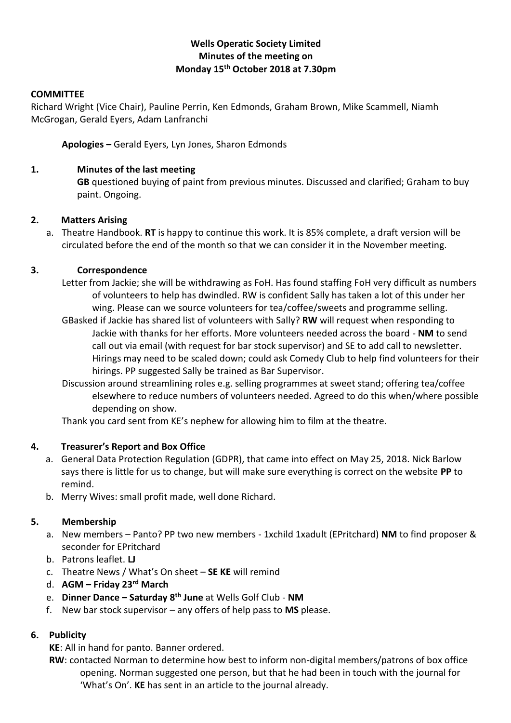## **Wells Operatic Society Limited Minutes of the meeting on Monday 15th October 2018 at 7.30pm**

#### **COMMITTEE**

Richard Wright (Vice Chair), Pauline Perrin, Ken Edmonds, Graham Brown, Mike Scammell, Niamh McGrogan, Gerald Eyers, Adam Lanfranchi

**Apologies –** Gerald Eyers, Lyn Jones, Sharon Edmonds

## **1. Minutes of the last meeting**

**GB** questioned buying of paint from previous minutes. Discussed and clarified; Graham to buy paint. Ongoing.

## **2. Matters Arising**

a. Theatre Handbook. **RT** is happy to continue this work. It is 85% complete, a draft version will be circulated before the end of the month so that we can consider it in the November meeting.

## **3. Correspondence**

- Letter from Jackie; she will be withdrawing as FoH. Has found staffing FoH very difficult as numbers of volunteers to help has dwindled. RW is confident Sally has taken a lot of this under her wing. Please can we source volunteers for tea/coffee/sweets and programme selling.
- GBasked if Jackie has shared list of volunteers with Sally? **RW** will request when responding to Jackie with thanks for her efforts. More volunteers needed across the board - **NM** to send call out via email (with request for bar stock supervisor) and SE to add call to newsletter. Hirings may need to be scaled down; could ask Comedy Club to help find volunteers for their hirings. PP suggested Sally be trained as Bar Supervisor.
- Discussion around streamlining roles e.g. selling programmes at sweet stand; offering tea/coffee elsewhere to reduce numbers of volunteers needed. Agreed to do this when/where possible depending on show.

Thank you card sent from KE's nephew for allowing him to film at the theatre.

### **4. Treasurer's Report and Box Office**

- a. General Data Protection Regulation (GDPR), that came into effect on May 25, 2018. Nick Barlow says there is little for us to change, but will make sure everything is correct on the website **PP** to remind.
- b. Merry Wives: small profit made, well done Richard.

## **5. Membership**

- a. New members Panto? PP two new members 1xchild 1xadult (EPritchard) **NM** to find proposer & seconder for EPritchard
- b. Patrons leaflet. **LJ**
- c. Theatre News / What's On sheet **SE KE** will remind
- d. **AGM – Friday 23rd March**
- e. **Dinner Dance – Saturday 8th June** at Wells Golf Club **NM**
- f. New bar stock supervisor any offers of help pass to **MS** please.

## **6. Publicity**

**KE**: All in hand for panto. Banner ordered.

**RW**: contacted Norman to determine how best to inform non-digital members/patrons of box office opening. Norman suggested one person, but that he had been in touch with the journal for 'What's On'. **KE** has sent in an article to the journal already.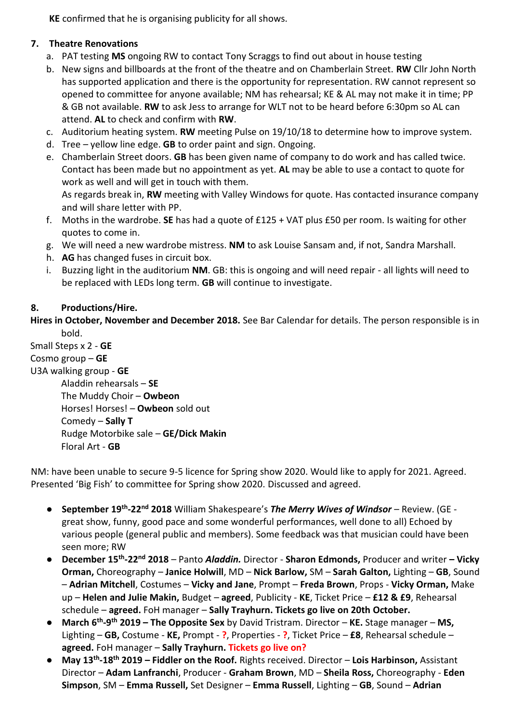**KE** confirmed that he is organising publicity for all shows.

# **7. Theatre Renovations**

- a. PAT testing **MS** ongoing RW to contact Tony Scraggs to find out about in house testing
- b. New signs and billboards at the front of the theatre and on Chamberlain Street. **RW** Cllr John North has supported application and there is the opportunity for representation. RW cannot represent so opened to committee for anyone available; NM has rehearsal; KE & AL may not make it in time; PP & GB not available. **RW** to ask Jess to arrange for WLT not to be heard before 6:30pm so AL can attend. **AL** to check and confirm with **RW**.
- c. Auditorium heating system. **RW** meeting Pulse on 19/10/18 to determine how to improve system.
- d. Tree yellow line edge. **GB** to order paint and sign. Ongoing.
- e. Chamberlain Street doors. **GB** has been given name of company to do work and has called twice. Contact has been made but no appointment as yet. **AL** may be able to use a contact to quote for work as well and will get in touch with them.

As regards break in, **RW** meeting with Valley Windows for quote. Has contacted insurance company and will share letter with PP.

- f. Moths in the wardrobe. **SE** has had a quote of £125 + VAT plus £50 per room. Is waiting for other quotes to come in.
- g. We will need a new wardrobe mistress. **NM** to ask Louise Sansam and, if not, Sandra Marshall.
- h. **AG** has changed fuses in circuit box.
- i. Buzzing light in the auditorium **NM**. GB: this is ongoing and will need repair all lights will need to be replaced with LEDs long term. **GB** will continue to investigate.

# **8. Productions/Hire.**

**Hires in October, November and December 2018.** See Bar Calendar for details. The person responsible is in bold.

Small Steps x 2 - **GE** Cosmo group – **GE** U3A walking group - **GE** Aladdin rehearsals – **SE** The Muddy Choir – **Owbeon** Horses! Horses! – **Owbeon** sold out Comedy – **Sally T** Rudge Motorbike sale – **GE/Dick Makin** Floral Art - **GB**

NM: have been unable to secure 9-5 licence for Spring show 2020. Would like to apply for 2021. Agreed. Presented 'Big Fish' to committee for Spring show 2020. Discussed and agreed.

- **September 19th -22nd 2018** William Shakespeare's *The Merry Wives of Windsor* Review. (GE great show, funny, good pace and some wonderful performances, well done to all) Echoed by various people (general public and members). Some feedback was that musician could have been seen more; RW
- **December 15th -22nd 2018** *–* Panto *Aladdin.* Director **Sharon Edmonds,** Producer and writer **– Vicky Orman,** Choreography – **Janice Holwill**, MD – **Nick Barlow,** SM – **Sarah Galton,** Lighting – **GB**, Sound – **Adrian Mitchell**, Costumes – **Vicky and Jane**, Prompt – **Freda Brown**, Props - **Vicky Orman,** Make up – **Helen and Julie Makin,** Budget – **agreed**, Publicity - **KE**, Ticket Price – **£12 & £9**, Rehearsal schedule – **agreed.** FoH manager – **Sally Trayhurn. Tickets go live on 20th October.**
- **March 6th -9 th 2019 – The Opposite Sex** by David Tristram. Director **KE.** Stage manager **MS,**  Lighting – **GB,** Costume - **KE,** Prompt - **?**, Properties - **?**, Ticket Price – **£8**, Rehearsal schedule – **agreed.** FoH manager – **Sally Trayhurn. Tickets go live on?**
- **May 13th -18th 2019 – Fiddler on the Roof.** Rights received. Director **Lois Harbinson,** Assistant Director – **Adam Lanfranchi**, Producer - **Graham Brown**, MD – **Sheila Ross,** Choreography - **Eden Simpson**, SM – **Emma Russell,** Set Designer – **Emma Russell**, Lighting – **GB**, Sound – **Adrian**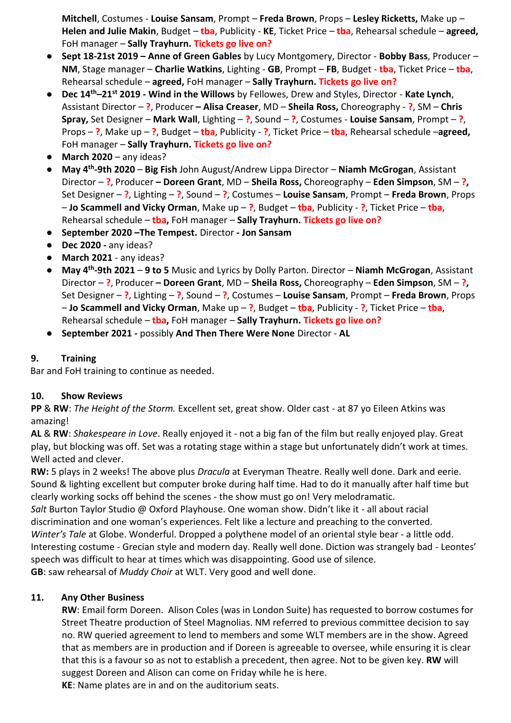**Mitchell**, Costumes - **Louise Sansam**, Prompt – **Freda Brown**, Props – **Lesley Ricketts,** Make up – **Helen and Julie Makin**, Budget – **tba**, Publicity - **KE**, Ticket Price – **tba**, Rehearsal schedule – **agreed,**  FoH manager – **Sally Trayhurn. Tickets go live on?**

- **Sept 18-21st 2019 – Anne of Green Gables** by Lucy Montgomery, Director **Bobby Bass**, Producer **NM**, Stage manager – **Charlie Watkins**, Lighting - **GB**, Prompt – **FB**, Budget - **tba**, Ticket Price – **tba**, Rehearsal schedule – **agreed,** FoH manager – **Sally Trayhurn. Tickets go live on?**
- **Dec 14th–21st 2019 - Wind in the Willows** by Fellowes, Drew and Styles, Director **Kate Lynch**, Assistant Director – **?**, Producer **– Alisa Creaser**, MD – **Sheila Ross,** Choreography - **?**, SM – **Chris Spray,** Set Designer – **Mark Wall**, Lighting – **?**, Sound – **?**, Costumes - **Louise Sansam**, Prompt – **?**, Props – **?**, Make up – **?**, Budget – **tba**, Publicity - **?**, Ticket Price – **tba**, Rehearsal schedule –**agreed,**  FoH manager – **Sally Trayhurn. Tickets go live on?**
- **March 2020** any ideas?
- **May 4th -9th 2020 Big Fish** John August/Andrew Lippa Director **Niamh McGrogan**, Assistant Director – **?**, Producer **– Doreen Grant**, MD – **Sheila Ross,** Choreography – **Eden Simpson**, SM – **?,**  Set Designer – **?**, Lighting – **?**, Sound – **?**, Costumes – **Louise Sansam**, Prompt – **Freda Brown**, Props – **Jo Scammell and Vicky Orman**, Make up – **?**, Budget – **tba**, Publicity - **?**, Ticket Price – **tba**, Rehearsal schedule – **tba,** FoH manager – **Sally Trayhurn. Tickets go live on?**
- **September 2020 –The Tempest.** Director **- Jon Sansam**
- **Dec 2020 -** any ideas?
- **March 2021** any ideas?
- **May 4th -9th 2021 9 to 5** Music and Lyrics by Dolly Parton. Director **Niamh McGrogan**, Assistant Director – **?**, Producer **– Doreen Grant**, MD – **Sheila Ross,** Choreography – **Eden Simpson**, SM – **?,**  Set Designer – **?**, Lighting – **?**, Sound – **?**, Costumes – **Louise Sansam**, Prompt – **Freda Brown**, Props – **Jo Scammell and Vicky Orman**, Make up – **?**, Budget – **tba**, Publicity - **?**, Ticket Price – **tba**, Rehearsal schedule – **tba,** FoH manager – **Sally Trayhurn. Tickets go live on?**
- **September 2021 -** possibly **And Then There Were None** Director **AL**

### **9. Training**

Bar and FoH training to continue as needed.

### **10. Show Reviews**

**PP** & **RW**: *The Height of the Storm.* Excellent set, great show. Older cast - at 87 yo Eileen Atkins was amazing!

**AL** & **RW**: *Shakespeare in Love*. Really enjoyed it - not a big fan of the film but really enjoyed play. Great play, but blocking was off. Set was a rotating stage within a stage but unfortunately didn't work at times. Well acted and clever.

**RW:** 5 plays in 2 weeks! The above plus *Dracula* at Everyman Theatre. Really well done. Dark and eerie. Sound & lighting excellent but computer broke during half time. Had to do it manually after half time but clearly working socks off behind the scenes - the show must go on! Very melodramatic.

*Salt* Burton Taylor Studio @ Oxford Playhouse. One woman show. Didn't like it - all about racial discrimination and one woman's experiences. Felt like a lecture and preaching to the converted. *Winter's Tale* at Globe. Wonderful. Dropped a polythene model of an oriental style bear - a little odd. Interesting costume - Grecian style and modern day. Really well done. Diction was strangely bad - Leontes' speech was difficult to hear at times which was disappointing. Good use of silence. **GB**: saw rehearsal of *Muddy Choir* at WLT. Very good and well done.

### **11. Any Other Business**

**RW**: Email form Doreen. Alison Coles (was in London Suite) has requested to borrow costumes for Street Theatre production of Steel Magnolias. NM referred to previous committee decision to say no. RW queried agreement to lend to members and some WLT members are in the show. Agreed that as members are in production and if Doreen is agreeable to oversee, while ensuring it is clear that this is a favour so as not to establish a precedent, then agree. Not to be given key. **RW** will suggest Doreen and Alison can come on Friday while he is here.

**KE**: Name plates are in and on the auditorium seats.